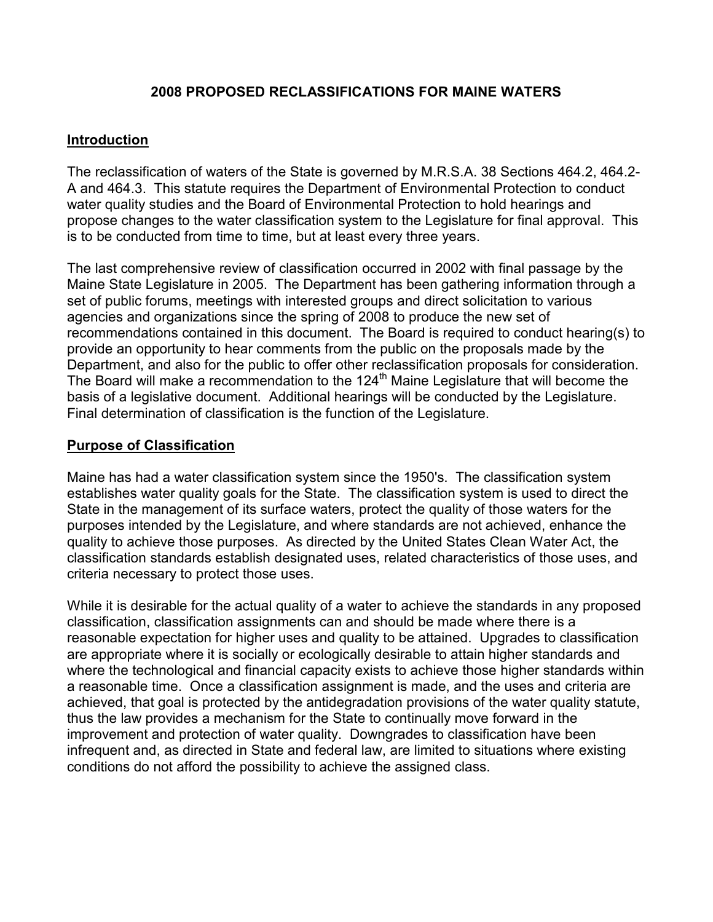### 2008 PROPOSED RECLASSIFICATIONS FOR MAINE WATERS

#### Introduction

The reclassification of waters of the State is governed by M.R.S.A. 38 Sections 464.2, 464.2- A and 464.3. This statute requires the Department of Environmental Protection to conduct water quality studies and the Board of Environmental Protection to hold hearings and propose changes to the water classification system to the Legislature for final approval. This is to be conducted from time to time, but at least every three years.

The last comprehensive review of classification occurred in 2002 with final passage by the Maine State Legislature in 2005. The Department has been gathering information through a set of public forums, meetings with interested groups and direct solicitation to various agencies and organizations since the spring of 2008 to produce the new set of recommendations contained in this document. The Board is required to conduct hearing(s) to provide an opportunity to hear comments from the public on the proposals made by the Department, and also for the public to offer other reclassification proposals for consideration. The Board will make a recommendation to the 124<sup>th</sup> Maine Legislature that will become the basis of a legislative document. Additional hearings will be conducted by the Legislature. Final determination of classification is the function of the Legislature.

### Purpose of Classification

Maine has had a water classification system since the 1950's. The classification system establishes water quality goals for the State. The classification system is used to direct the State in the management of its surface waters, protect the quality of those waters for the purposes intended by the Legislature, and where standards are not achieved, enhance the quality to achieve those purposes. As directed by the United States Clean Water Act, the classification standards establish designated uses, related characteristics of those uses, and criteria necessary to protect those uses.

While it is desirable for the actual quality of a water to achieve the standards in any proposed classification, classification assignments can and should be made where there is a reasonable expectation for higher uses and quality to be attained. Upgrades to classification are appropriate where it is socially or ecologically desirable to attain higher standards and where the technological and financial capacity exists to achieve those higher standards within a reasonable time. Once a classification assignment is made, and the uses and criteria are achieved, that goal is protected by the antidegradation provisions of the water quality statute, thus the law provides a mechanism for the State to continually move forward in the improvement and protection of water quality. Downgrades to classification have been infrequent and, as directed in State and federal law, are limited to situations where existing conditions do not afford the possibility to achieve the assigned class.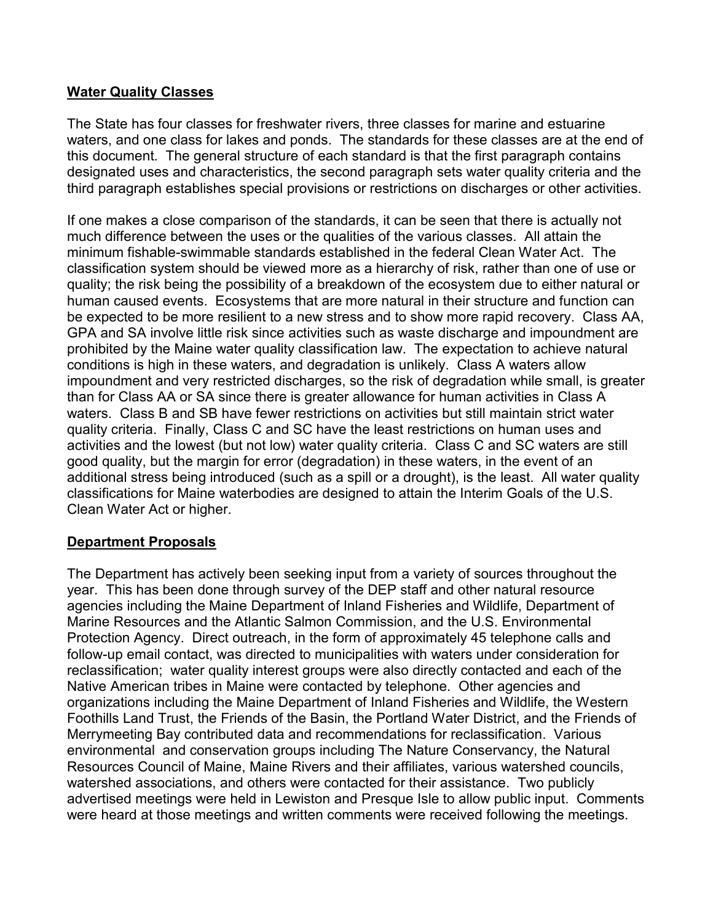### Water Quality Classes

The State has four classes for freshwater rivers, three classes for marine and estuarine waters, and one class for lakes and ponds. The standards for these classes are at the end of this document. The general structure of each standard is that the first paragraph contains designated uses and characteristics, the second paragraph sets water quality criteria and the third paragraph establishes special provisions or restrictions on discharges or other activities.

If one makes a close comparison of the standards, it can be seen that there is actually not much difference between the uses or the qualities of the various classes. All attain the minimum fishable-swimmable standards established in the federal Clean Water Act. The classification system should be viewed more as a hierarchy of risk, rather than one of use or quality; the risk being the possibility of a breakdown of the ecosystem due to either natural or human caused events. Ecosystems that are more natural in their structure and function can be expected to be more resilient to a new stress and to show more rapid recovery. Class AA, GPA and SA involve little risk since activities such as waste discharge and impoundment are prohibited by the Maine water quality classification law. The expectation to achieve natural conditions is high in these waters, and degradation is unlikely. Class A waters allow impoundment and very restricted discharges, so the risk of degradation while small, is greater than for Class AA or SA since there is greater allowance for human activities in Class A waters. Class B and SB have fewer restrictions on activities but still maintain strict water quality criteria. Finally, Class C and SC have the least restrictions on human uses and activities and the lowest (but not low) water quality criteria. Class C and SC waters are still good quality, but the margin for error (degradation) in these waters, in the event of an additional stress being introduced (such as a spill or a drought), is the least. All water quality classifications for Maine waterbodies are designed to attain the Interim Goals of the U.S. Clean Water Act or higher.

### Department Proposals

The Department has actively been seeking input from a variety of sources throughout the year. This has been done through survey of the DEP staff and other natural resource agencies including the Maine Department of Inland Fisheries and Wildlife, Department of Marine Resources and the Atlantic Salmon Commission, and the U.S. Environmental Protection Agency. Direct outreach, in the form of approximately 45 telephone calls and follow-up email contact, was directed to municipalities with waters under consideration for reclassification; water quality interest groups were also directly contacted and each of the Native American tribes in Maine were contacted by telephone. Other agencies and organizations including the Maine Department of Inland Fisheries and Wildlife, the Western Foothills Land Trust, the Friends of the Basin, the Portland Water District, and the Friends of Merrymeeting Bay contributed data and recommendations for reclassification. Various environmental and conservation groups including The Nature Conservancy, the Natural Resources Council of Maine, Maine Rivers and their affiliates, various watershed councils, watershed associations, and others were contacted for their assistance. Two publicly advertised meetings were held in Lewiston and Presque Isle to allow public input. Comments were heard at those meetings and written comments were received following the meetings.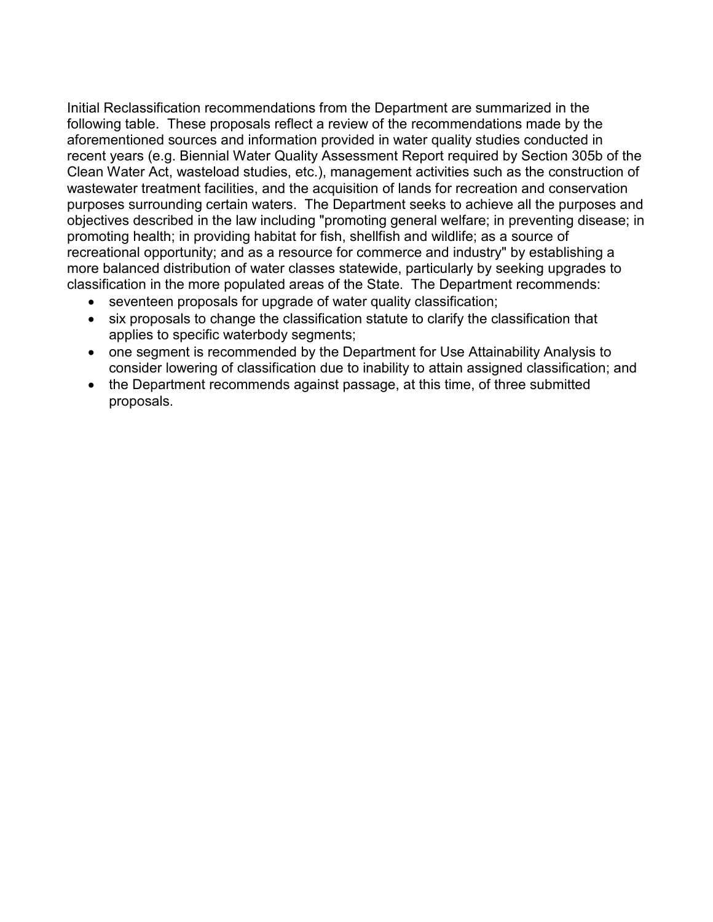Initial Reclassification recommendations from the Department are summarized in the following table. These proposals reflect a review of the recommendations made by the aforementioned sources and information provided in water quality studies conducted in recent years (e.g. Biennial Water Quality Assessment Report required by Section 305b of the Clean Water Act, wasteload studies, etc.), management activities such as the construction of wastewater treatment facilities, and the acquisition of lands for recreation and conservation purposes surrounding certain waters. The Department seeks to achieve all the purposes and objectives described in the law including "promoting general welfare; in preventing disease; in promoting health; in providing habitat for fish, shellfish and wildlife; as a source of recreational opportunity; and as a resource for commerce and industry" by establishing a more balanced distribution of water classes statewide, particularly by seeking upgrades to classification in the more populated areas of the State. The Department recommends:

- seventeen proposals for upgrade of water quality classification;
- six proposals to change the classification statute to clarify the classification that applies to specific waterbody segments;
- one segment is recommended by the Department for Use Attainability Analysis to consider lowering of classification due to inability to attain assigned classification; and
- the Department recommends against passage, at this time, of three submitted proposals.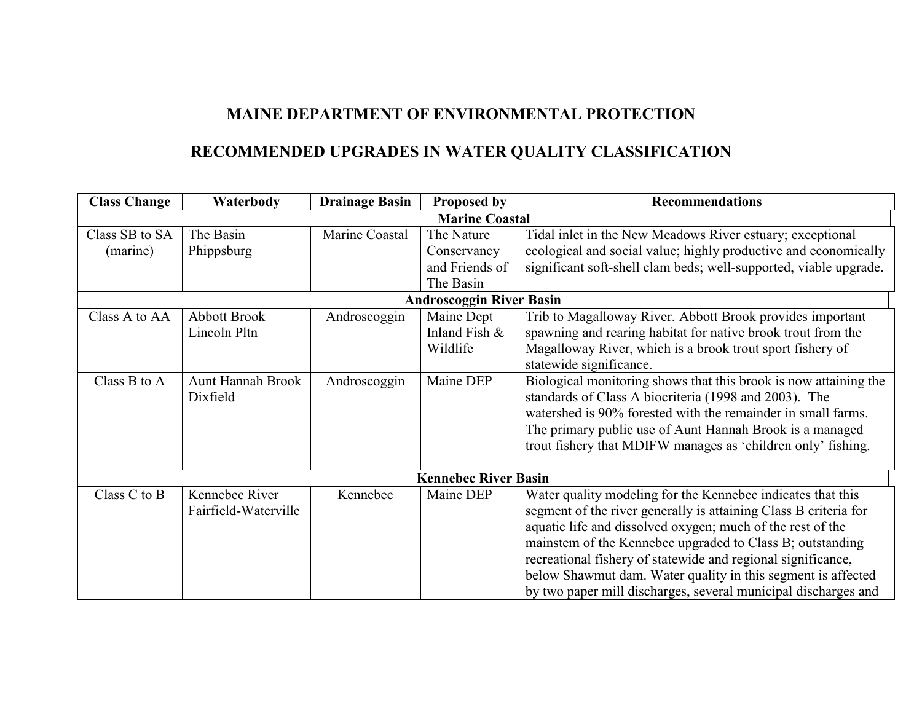## MAINE DEPARTMENT OF ENVIRONMENTAL PROTECTION

# RECOMMENDED UPGRADES IN WATER QUALITY CLASSIFICATION

| <b>Class Change</b>   | Waterbody                | <b>Drainage Basin</b> | <b>Proposed by</b>              | <b>Recommendations</b>                                            |  |  |  |
|-----------------------|--------------------------|-----------------------|---------------------------------|-------------------------------------------------------------------|--|--|--|
| <b>Marine Coastal</b> |                          |                       |                                 |                                                                   |  |  |  |
| Class SB to SA        | The Basin                | Marine Coastal        | The Nature                      | Tidal inlet in the New Meadows River estuary; exceptional         |  |  |  |
| (marine)              | Phippsburg               |                       | Conservancy                     | ecological and social value; highly productive and economically   |  |  |  |
|                       |                          |                       | and Friends of                  | significant soft-shell clam beds; well-supported, viable upgrade. |  |  |  |
|                       |                          |                       | The Basin                       |                                                                   |  |  |  |
|                       |                          |                       | <b>Androscoggin River Basin</b> |                                                                   |  |  |  |
| Class A to AA         | <b>Abbott Brook</b>      | Androscoggin          | Maine Dept                      | Trib to Magalloway River. Abbott Brook provides important         |  |  |  |
|                       | Lincoln Pltn             |                       | Inland Fish $\&$                | spawning and rearing habitat for native brook trout from the      |  |  |  |
|                       |                          |                       | Wildlife                        | Magalloway River, which is a brook trout sport fishery of         |  |  |  |
|                       |                          |                       |                                 | statewide significance.                                           |  |  |  |
| Class B to A          | <b>Aunt Hannah Brook</b> | Androscoggin          | Maine DEP                       | Biological monitoring shows that this brook is now attaining the  |  |  |  |
|                       | Dixfield                 |                       |                                 | standards of Class A biocriteria (1998 and 2003). The             |  |  |  |
|                       |                          |                       |                                 | watershed is 90% forested with the remainder in small farms.      |  |  |  |
|                       |                          |                       |                                 | The primary public use of Aunt Hannah Brook is a managed          |  |  |  |
|                       |                          |                       |                                 | trout fishery that MDIFW manages as 'children only' fishing.      |  |  |  |
|                       |                          |                       |                                 |                                                                   |  |  |  |
|                       |                          |                       | <b>Kennebec River Basin</b>     |                                                                   |  |  |  |
| Class C to B          | Kennebec River           | Kennebec              | Maine DEP                       | Water quality modeling for the Kennebec indicates that this       |  |  |  |
|                       | Fairfield-Waterville     |                       |                                 | segment of the river generally is attaining Class B criteria for  |  |  |  |
|                       |                          |                       |                                 | aquatic life and dissolved oxygen; much of the rest of the        |  |  |  |
|                       |                          |                       |                                 | mainstem of the Kennebec upgraded to Class B; outstanding         |  |  |  |
|                       |                          |                       |                                 | recreational fishery of statewide and regional significance,      |  |  |  |
|                       |                          |                       |                                 | below Shawmut dam. Water quality in this segment is affected      |  |  |  |
|                       |                          |                       |                                 | by two paper mill discharges, several municipal discharges and    |  |  |  |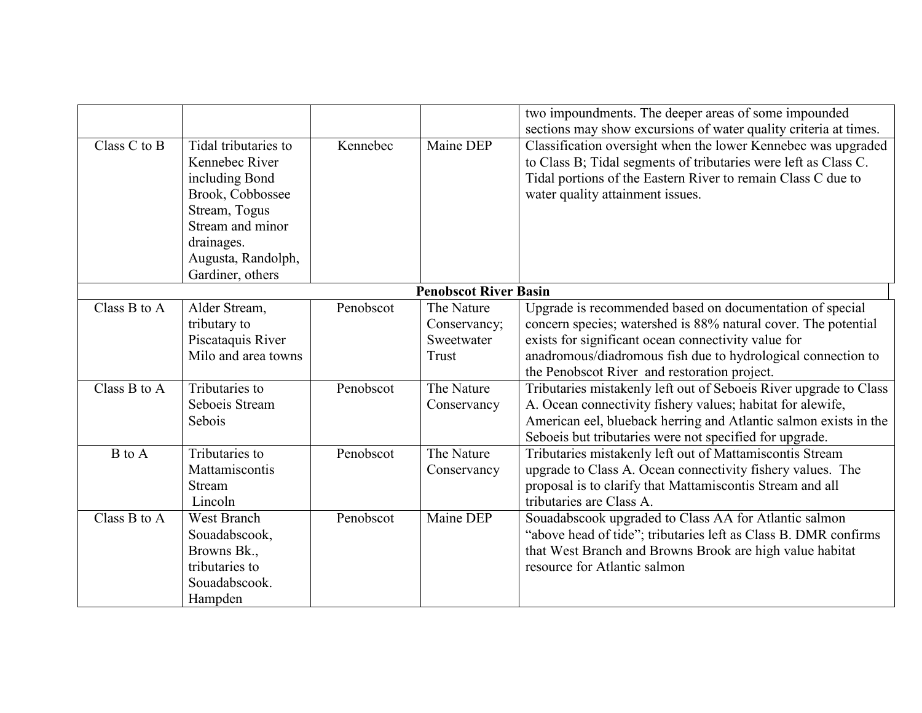|              |                                                                                                                                                                           |           |                                                   | two impoundments. The deeper areas of some impounded<br>sections may show excursions of water quality criteria at times.                                                                                                                                                                          |
|--------------|---------------------------------------------------------------------------------------------------------------------------------------------------------------------------|-----------|---------------------------------------------------|---------------------------------------------------------------------------------------------------------------------------------------------------------------------------------------------------------------------------------------------------------------------------------------------------|
| Class C to B | Tidal tributaries to<br>Kennebec River<br>including Bond<br>Brook, Cobbossee<br>Stream, Togus<br>Stream and minor<br>drainages.<br>Augusta, Randolph,<br>Gardiner, others | Kennebec  | Maine DEP                                         | Classification oversight when the lower Kennebec was upgraded<br>to Class B; Tidal segments of tributaries were left as Class C.<br>Tidal portions of the Eastern River to remain Class C due to<br>water quality attainment issues.                                                              |
|              |                                                                                                                                                                           |           | <b>Penobscot River Basin</b>                      |                                                                                                                                                                                                                                                                                                   |
| Class B to A | Alder Stream,<br>tributary to<br>Piscataquis River<br>Milo and area towns                                                                                                 | Penobscot | The Nature<br>Conservancy;<br>Sweetwater<br>Trust | Upgrade is recommended based on documentation of special<br>concern species; watershed is 88% natural cover. The potential<br>exists for significant ocean connectivity value for<br>anadromous/diadromous fish due to hydrological connection to<br>the Penobscot River and restoration project. |
| Class B to A | Tributaries to<br>Seboeis Stream<br>Sebois                                                                                                                                | Penobscot | The Nature<br>Conservancy                         | Tributaries mistakenly left out of Seboeis River upgrade to Class<br>A. Ocean connectivity fishery values; habitat for alewife,<br>American eel, blueback herring and Atlantic salmon exists in the<br>Seboeis but tributaries were not specified for upgrade.                                    |
| B to A       | Tributaries to<br>Mattamiscontis<br>Stream<br>Lincoln                                                                                                                     | Penobscot | The Nature<br>Conservancy                         | Tributaries mistakenly left out of Mattamiscontis Stream<br>upgrade to Class A. Ocean connectivity fishery values. The<br>proposal is to clarify that Mattamiscontis Stream and all<br>tributaries are Class A.                                                                                   |
| Class B to A | <b>West Branch</b><br>Souadabscook,<br>Browns Bk.,<br>tributaries to<br>Souadabscook.<br>Hampden                                                                          | Penobscot | Maine DEP                                         | Souadabscook upgraded to Class AA for Atlantic salmon<br>"above head of tide"; tributaries left as Class B. DMR confirms<br>that West Branch and Browns Brook are high value habitat<br>resource for Atlantic salmon                                                                              |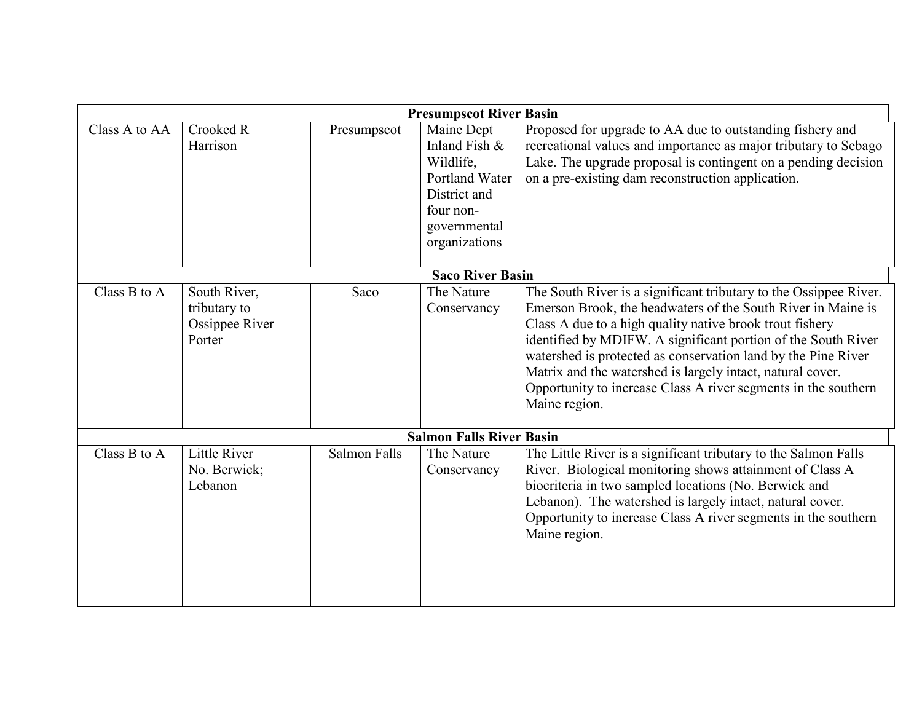|               |                                                          |              | <b>Presumpscot River Basin</b>                                                                                           |                                                                                                                                                                                                                                                                                                                                                                                                                                                                                  |
|---------------|----------------------------------------------------------|--------------|--------------------------------------------------------------------------------------------------------------------------|----------------------------------------------------------------------------------------------------------------------------------------------------------------------------------------------------------------------------------------------------------------------------------------------------------------------------------------------------------------------------------------------------------------------------------------------------------------------------------|
| Class A to AA | Crooked R<br>Harrison                                    | Presumpscot  | Maine Dept<br>Inland Fish &<br>Wildlife,<br>Portland Water<br>District and<br>four non-<br>governmental<br>organizations | Proposed for upgrade to AA due to outstanding fishery and<br>recreational values and importance as major tributary to Sebago<br>Lake. The upgrade proposal is contingent on a pending decision<br>on a pre-existing dam reconstruction application.                                                                                                                                                                                                                              |
|               |                                                          |              | <b>Saco River Basin</b>                                                                                                  |                                                                                                                                                                                                                                                                                                                                                                                                                                                                                  |
| Class B to A  | South River,<br>tributary to<br>Ossippee River<br>Porter | Saco         | The Nature<br>Conservancy                                                                                                | The South River is a significant tributary to the Ossippee River.<br>Emerson Brook, the headwaters of the South River in Maine is<br>Class A due to a high quality native brook trout fishery<br>identified by MDIFW. A significant portion of the South River<br>watershed is protected as conservation land by the Pine River<br>Matrix and the watershed is largely intact, natural cover.<br>Opportunity to increase Class A river segments in the southern<br>Maine region. |
|               |                                                          |              | <b>Salmon Falls River Basin</b>                                                                                          |                                                                                                                                                                                                                                                                                                                                                                                                                                                                                  |
| Class B to A  | <b>Little River</b><br>No. Berwick;<br>Lebanon           | Salmon Falls | The Nature<br>Conservancy                                                                                                | The Little River is a significant tributary to the Salmon Falls<br>River. Biological monitoring shows attainment of Class A<br>biocriteria in two sampled locations (No. Berwick and<br>Lebanon). The watershed is largely intact, natural cover.<br>Opportunity to increase Class A river segments in the southern<br>Maine region.                                                                                                                                             |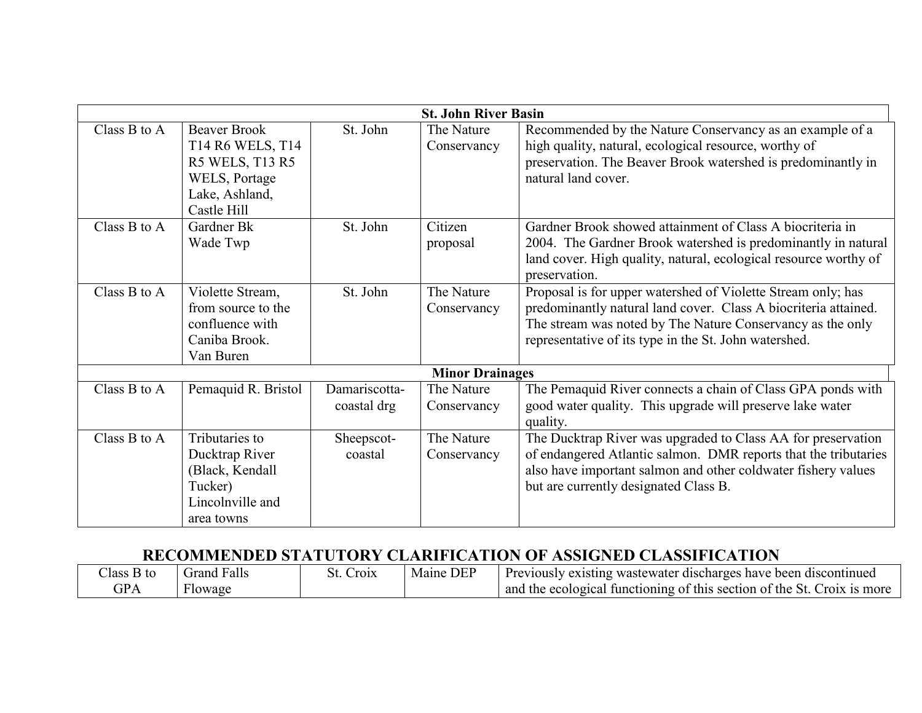|              |                                                                                                              |                              | <b>St. John River Basin</b> |                                                                                                                                                                                                                                                        |
|--------------|--------------------------------------------------------------------------------------------------------------|------------------------------|-----------------------------|--------------------------------------------------------------------------------------------------------------------------------------------------------------------------------------------------------------------------------------------------------|
| Class B to A | <b>Beaver Brook</b><br>T14 R6 WELS, T14<br>R5 WELS, T13 R5<br>WELS, Portage<br>Lake, Ashland,<br>Castle Hill | St. John                     | The Nature<br>Conservancy   | Recommended by the Nature Conservancy as an example of a<br>high quality, natural, ecological resource, worthy of<br>preservation. The Beaver Brook watershed is predominantly in<br>natural land cover.                                               |
| Class B to A | Gardner Bk<br>Wade Twp                                                                                       | St. John                     | Citizen<br>proposal         | Gardner Brook showed attainment of Class A biocriteria in<br>2004. The Gardner Brook watershed is predominantly in natural<br>land cover. High quality, natural, ecological resource worthy of<br>preservation.                                        |
| Class B to A | Violette Stream,<br>from source to the<br>confluence with<br>Caniba Brook.<br>Van Buren                      | St. John                     | The Nature<br>Conservancy   | Proposal is for upper watershed of Violette Stream only; has<br>predominantly natural land cover. Class A biocriteria attained.<br>The stream was noted by The Nature Conservancy as the only<br>representative of its type in the St. John watershed. |
|              |                                                                                                              |                              | <b>Minor Drainages</b>      |                                                                                                                                                                                                                                                        |
| Class B to A | Pemaquid R. Bristol                                                                                          | Damariscotta-<br>coastal drg | The Nature<br>Conservancy   | The Pemaquid River connects a chain of Class GPA ponds with<br>good water quality. This upgrade will preserve lake water<br>quality.                                                                                                                   |
| Class B to A | Tributaries to<br>Ducktrap River<br>(Black, Kendall<br>Tucker)<br>Lincolnville and<br>area towns             | Sheepscot-<br>coastal        | The Nature<br>Conservancy   | The Ducktrap River was upgraded to Class AA for preservation<br>of endangered Atlantic salmon. DMR reports that the tributaries<br>also have important salmon and other coldwater fishery values<br>but are currently designated Class B.              |

# RECOMMENDED STATUTORY CLARIFICATION OF ASSIGNED CLASSIFICATION

| Class B to | Grand Falls | <b>Croix</b><br>Jl. | Maine DEP | Previously existing wastewater discharges have been discontinued        |
|------------|-------------|---------------------|-----------|-------------------------------------------------------------------------|
| GPA        | Flowage     |                     |           | and the ecological functioning of this section of the St. Croix is more |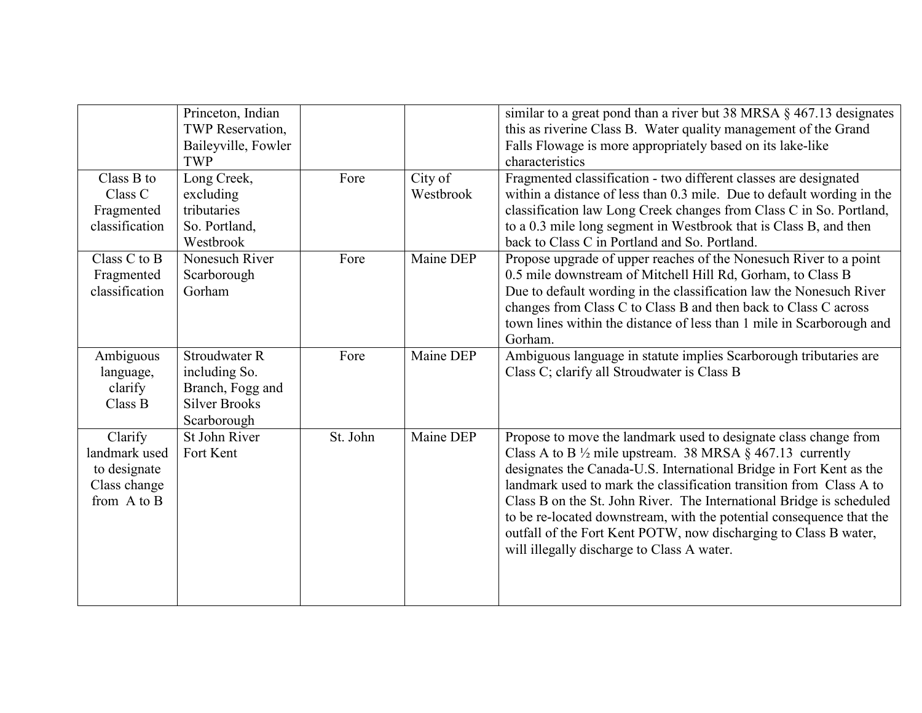|                                                                             | Princeton, Indian<br>TWP Reservation,<br>Baileyville, Fowler<br><b>TWP</b>                       |          |                      | similar to a great pond than a river but 38 MRSA § 467.13 designates<br>this as riverine Class B. Water quality management of the Grand<br>Falls Flowage is more appropriately based on its lake-like<br>characteristics                                                                                                                                                                                                                                                                                                                                 |
|-----------------------------------------------------------------------------|--------------------------------------------------------------------------------------------------|----------|----------------------|----------------------------------------------------------------------------------------------------------------------------------------------------------------------------------------------------------------------------------------------------------------------------------------------------------------------------------------------------------------------------------------------------------------------------------------------------------------------------------------------------------------------------------------------------------|
| Class B to<br>Class C<br>Fragmented<br>classification                       | Long Creek,<br>excluding<br>tributaries<br>So. Portland,<br>Westbrook                            | Fore     | City of<br>Westbrook | Fragmented classification - two different classes are designated<br>within a distance of less than 0.3 mile. Due to default wording in the<br>classification law Long Creek changes from Class C in So. Portland,<br>to a 0.3 mile long segment in Westbrook that is Class B, and then<br>back to Class C in Portland and So. Portland.                                                                                                                                                                                                                  |
| Class C to B<br>Fragmented<br>classification                                | Nonesuch River<br>Scarborough<br>Gorham                                                          | Fore     | Maine DEP            | Propose upgrade of upper reaches of the Nonesuch River to a point<br>0.5 mile downstream of Mitchell Hill Rd, Gorham, to Class B<br>Due to default wording in the classification law the Nonesuch River<br>changes from Class C to Class B and then back to Class C across<br>town lines within the distance of less than 1 mile in Scarborough and<br>Gorham.                                                                                                                                                                                           |
| Ambiguous<br>language,<br>clarify<br>Class B                                | <b>Stroudwater R</b><br>including So.<br>Branch, Fogg and<br><b>Silver Brooks</b><br>Scarborough | Fore     | Maine DEP            | Ambiguous language in statute implies Scarborough tributaries are<br>Class C; clarify all Stroudwater is Class B                                                                                                                                                                                                                                                                                                                                                                                                                                         |
| Clarify<br>landmark used<br>to designate<br>Class change<br>from $A$ to $B$ | St John River<br>Fort Kent                                                                       | St. John | Maine DEP            | Propose to move the landmark used to designate class change from<br>Class A to B $\frac{1}{2}$ mile upstream. 38 MRSA § 467.13 currently<br>designates the Canada-U.S. International Bridge in Fort Kent as the<br>landmark used to mark the classification transition from Class A to<br>Class B on the St. John River. The International Bridge is scheduled<br>to be re-located downstream, with the potential consequence that the<br>outfall of the Fort Kent POTW, now discharging to Class B water,<br>will illegally discharge to Class A water. |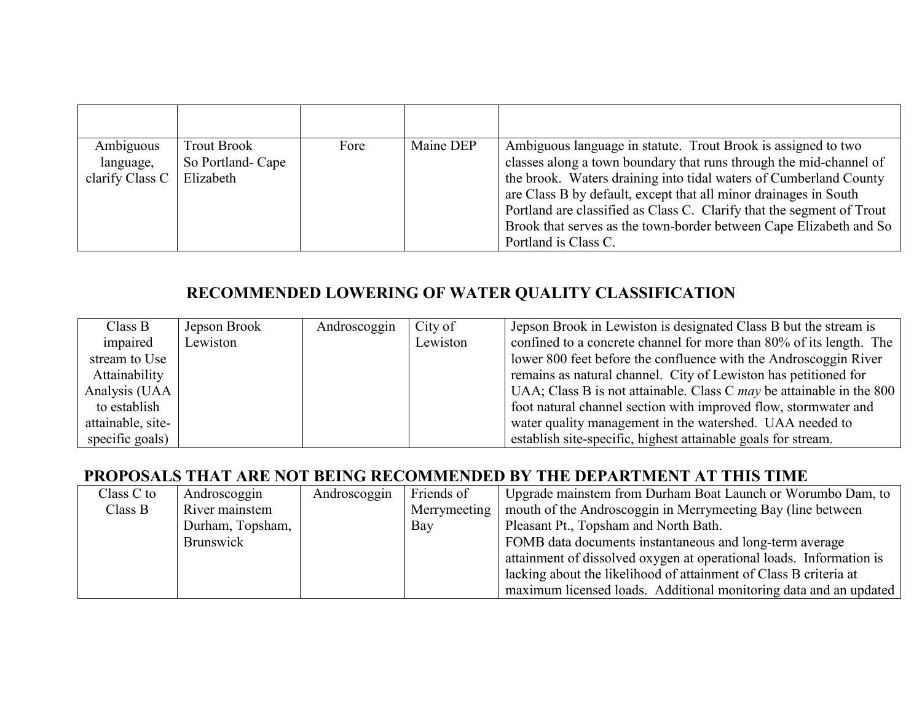| Ambiguous<br>language,<br>clarify Class $C$ | <b>Trout Brook</b><br>So Portland-Cape<br>Elizabeth | Fore | Maine DEP | Ambiguous language in statute. Trout Brook is assigned to two<br>classes along a town boundary that runs through the mid-channel of<br>the brook. Waters draining into tidal waters of Cumberland County<br>are Class B by default, except that all minor drainages in South<br>Portland are classified as Class C. Clarify that the segment of Trout<br>Brook that serves as the town-border between Cape Elizabeth and So<br>Portland is Class C. |
|---------------------------------------------|-----------------------------------------------------|------|-----------|-----------------------------------------------------------------------------------------------------------------------------------------------------------------------------------------------------------------------------------------------------------------------------------------------------------------------------------------------------------------------------------------------------------------------------------------------------|

# RECOMMENDED LOWERING OF WATER QUALITY CLASSIFICATION

| Class B           | Jepson Brook | Androscoggin | City of  | Jepson Brook in Lewiston is designated Class B but the stream is       |
|-------------------|--------------|--------------|----------|------------------------------------------------------------------------|
| impaired          | Lewiston     |              | Lewiston | confined to a concrete channel for more than 80% of its length. The    |
| stream to Use     |              |              |          | lower 800 feet before the confluence with the Androscoggin River       |
| Attainability     |              |              |          | remains as natural channel. City of Lewiston has petitioned for        |
| Analysis (UAA     |              |              |          | UAA; Class B is not attainable. Class C $may$ be attainable in the 800 |
| to establish      |              |              |          | foot natural channel section with improved flow, stormwater and        |
| attainable, site- |              |              |          | water quality management in the watershed. UAA needed to               |
| specific goals)   |              |              |          | establish site-specific, highest attainable goals for stream.          |

## PROPOSALS THAT ARE NOT BEING RECOMMENDED BY THE DEPARTMENT AT THIS TIME

| Class C to | Androscoggin     | Androscoggin | Friends of   | Upgrade mainstem from Durham Boat Launch or Worumbo Dam, to         |
|------------|------------------|--------------|--------------|---------------------------------------------------------------------|
| Class B    | River mainstem   |              | Merrymeeting | mouth of the Androscoggin in Merrymeeting Bay (line between         |
|            | Durham, Topsham, |              | Bay          | Pleasant Pt., Topsham and North Bath.                               |
|            | <b>Brunswick</b> |              |              | FOMB data documents instantaneous and long-term average             |
|            |                  |              |              | attainment of dissolved oxygen at operational loads. Information is |
|            |                  |              |              | lacking about the likelihood of attainment of Class B criteria at   |
|            |                  |              |              | maximum licensed loads. Additional monitoring data and an updated   |